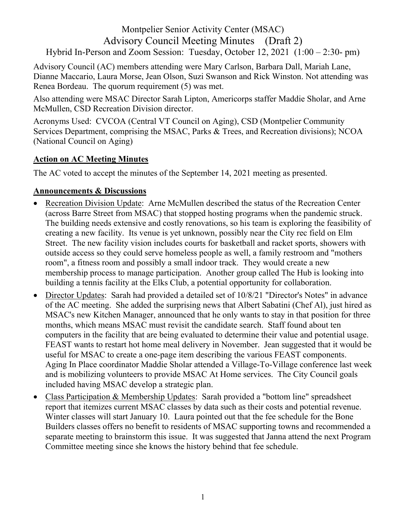## Montpelier Senior Activity Center (MSAC) Advisory Council Meeting Minutes (Draft 2) Hybrid In-Person and Zoom Session: Tuesday, October 12, 2021 (1:00 – 2:30- pm)

Advisory Council (AC) members attending were Mary Carlson, Barbara Dall, Mariah Lane, Dianne Maccario, Laura Morse, Jean Olson, Suzi Swanson and Rick Winston. Not attending was Renea Bordeau. The quorum requirement (5) was met.

Also attending were MSAC Director Sarah Lipton, Americorps staffer Maddie Sholar, and Arne McMullen, CSD Recreation Division director.

Acronyms Used: CVCOA (Central VT Council on Aging), CSD (Montpelier Community Services Department, comprising the MSAC, Parks & Trees, and Recreation divisions); NCOA (National Council on Aging)

## **Action on AC Meeting Minutes**

The AC voted to accept the minutes of the September 14, 2021 meeting as presented.

## **Announcements & Discussions**

- Recreation Division Update: Arne McMullen described the status of the Recreation Center (across Barre Street from MSAC) that stopped hosting programs when the pandemic struck. The building needs extensive and costly renovations, so his team is exploring the feasibility of creating a new facility. Its venue is yet unknown, possibly near the City rec field on Elm Street. The new facility vision includes courts for basketball and racket sports, showers with outside access so they could serve homeless people as well, a family restroom and "mothers room", a fitness room and possibly a small indoor track. They would create a new membership process to manage participation. Another group called The Hub is looking into building a tennis facility at the Elks Club, a potential opportunity for collaboration.
- Director Updates: Sarah had provided a detailed set of 10/8/21 "Director's Notes" in advance of the AC meeting. She added the surprising news that Albert Sabatini (Chef Al), just hired as MSAC's new Kitchen Manager, announced that he only wants to stay in that position for three months, which means MSAC must revisit the candidate search. Staff found about ten computers in the facility that are being evaluated to determine their value and potential usage. FEAST wants to restart hot home meal delivery in November. Jean suggested that it would be useful for MSAC to create a one-page item describing the various FEAST components. Aging In Place coordinator Maddie Sholar attended a Village-To-Village conference last week and is mobilizing volunteers to provide MSAC At Home services. The City Council goals included having MSAC develop a strategic plan.
- Class Participation & Membership Updates: Sarah provided a "bottom line" spreadsheet report that itemizes current MSAC classes by data such as their costs and potential revenue. Winter classes will start January 10. Laura pointed out that the fee schedule for the Bone Builders classes offers no benefit to residents of MSAC supporting towns and recommended a separate meeting to brainstorm this issue. It was suggested that Janna attend the next Program Committee meeting since she knows the history behind that fee schedule.